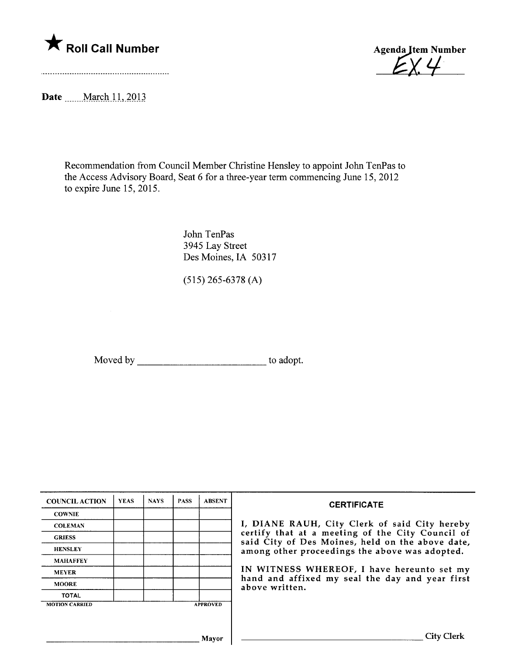

Agenda Jtem Number  $14<sup>1</sup>$ 

Date \_\_\_\_\_ March 11, 2013

Recommendation from Council Member Christine Hensley to appoint John TenPas to the Access Advisory Board, Seat 6 for a three-year term commencing June 15,2012 to expire June 15, 2015.

> John TenPas 3945 Lay Street Des Moines, IA 50317

(515) 265-6378 (A)

Moved by \_\_\_\_\_\_\_\_\_\_\_\_\_\_\_\_\_\_\_\_\_\_\_\_\_\_\_\_\_\_\_\_\_\_ to adopt.

| <b>COUNCIL ACTION</b> | <b>YEAS</b> | <b>NAYS</b> | <b>PASS</b> | <b>ABSENT</b>   | <b>CERTIFICATE</b><br>I, DIANE RAUH, City Clerk of said City hereby<br>certify that at a meeting of the City Council of<br>said City of Des Moines, held on the above date,<br>among other proceedings the above was adopted.<br>IN WITNESS WHEREOF, I have hereunto set my<br>hand and affixed my seal the day and year first<br>above written. |
|-----------------------|-------------|-------------|-------------|-----------------|--------------------------------------------------------------------------------------------------------------------------------------------------------------------------------------------------------------------------------------------------------------------------------------------------------------------------------------------------|
| <b>COWNIE</b>         |             |             |             |                 |                                                                                                                                                                                                                                                                                                                                                  |
| <b>COLEMAN</b>        |             |             |             |                 |                                                                                                                                                                                                                                                                                                                                                  |
| <b>GRIESS</b>         |             |             |             |                 |                                                                                                                                                                                                                                                                                                                                                  |
| <b>HENSLEY</b>        |             |             |             |                 |                                                                                                                                                                                                                                                                                                                                                  |
| <b>MAHAFFEY</b>       |             |             |             |                 |                                                                                                                                                                                                                                                                                                                                                  |
| <b>MEYER</b>          |             |             |             |                 |                                                                                                                                                                                                                                                                                                                                                  |
| <b>MOORE</b>          |             |             |             |                 |                                                                                                                                                                                                                                                                                                                                                  |
| <b>TOTAL</b>          |             |             |             |                 |                                                                                                                                                                                                                                                                                                                                                  |
| <b>MOTION CARRIED</b> |             |             |             | <b>APPROVED</b> |                                                                                                                                                                                                                                                                                                                                                  |
|                       |             |             |             |                 |                                                                                                                                                                                                                                                                                                                                                  |
|                       |             |             |             |                 |                                                                                                                                                                                                                                                                                                                                                  |
| Mavor                 |             |             |             |                 | <b>City Clerk</b>                                                                                                                                                                                                                                                                                                                                |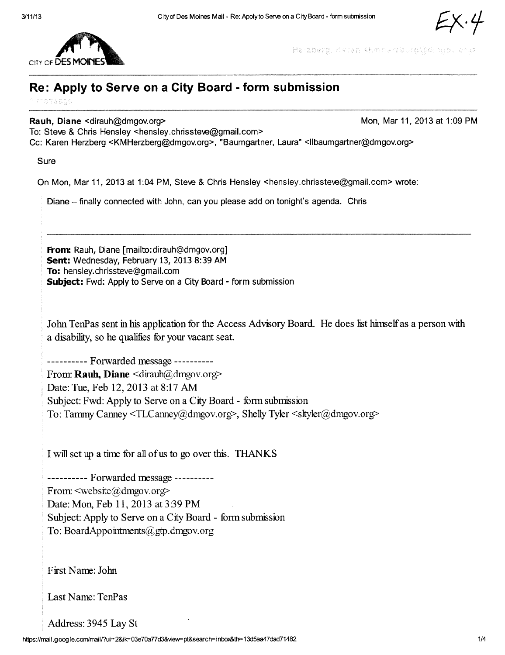

 $CIV$  of  $DE$ 

Herzberg, Keren «kmharzburg@dinuov crg>

## Re: Apply to Serve on a City Board - form submission

message

Rauh, Diane <dirauh@dmgov.org><br>
Mon, Mar 11, 2013 at 1:09 PM

To: Steve & Chris Hensley <hensley.chrissteve@gmail.com>

Cc: Karen Herzberg <KMHerzberg@dmgov.org>, "Baumgartner, Laura" <IIbaumgartner@dmgov.org>

Sure

On Mon, Mar 11, 2013 at 1:04 PM, Steve & Chris Hensley <hensley.chrissteve@gmail.com> wrote:

Diane - finally connected with John, can you please add on tonight's agenda. Chris

From: Rauh, Diane [mailto:dirauh@dmgov.org] Sent: Wednesday, February 13, 2013 8:39 AM To: hensley.chrissteve@qmail.com Subject: Fwd: Apply to Serve on a City Board - form submission

John TenPas sent in his application for the Access Advisory Board. He does list himself as a person with a disability, so he qualifies for your vacant seat.

---------- Forwarded message ----------

From: Rauh, Diane  $\langle \text{drauh}(\hat{\omega}) \text{dmgov.org} \rangle$ Date: Tue, Feb 12,2013 at 8:17 AM Subject: Fwd: Apply to Serve on a City Board - form submission To: Tammy Canney  $\langle \text{TLCanney}(\hat{\omega} \text{dmgov.org} \rangle$ , Shelly Tyler  $\langle \text{s} \text{ttyler}(\hat{\omega} \text{dmgov.org} \rangle$ 

I will set up a time for all of us to go over this. THANKS

---------- Forwarded message ----------From:  $\leq$ website( $a$ )dmgov.org> Date: Mon, Feb 11, 2013 at 3:39 PM Subject: Apply to Serve on a City Board - form submission To: BoardAppointments@gtp.dmgov.org

First Name: John

Last Name: TenPas

Address: 3945 Lay St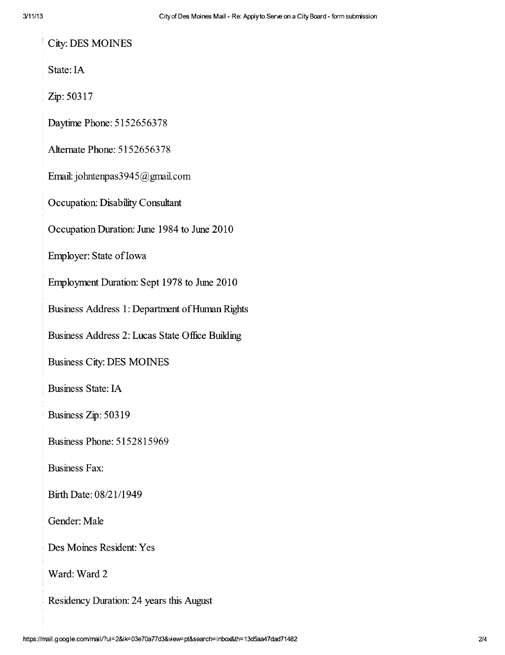**City: DES MOINES** 

State: IA

Zip: 50317

Daytime Phone: 5152656378

Alternate Phone: 5152656378

Email: johntenpas3945@gmail.com

Occupation: Disability Consultant

Occupation Duration: June 1984 to June 2010

Employer: State of Iowa

Employment Duration: Sept 1978 to June 2010

Business Address 1: Department of Human Rights

Business Address 2: Lucas State Office Building

**Business City: DES MOINES** 

**Business State: IA** 

Business Zip: 50319

**Business Phone: 5152815969** 

**Business Fax:** 

Birth Date: 08/21/1949

Gender: Male

Des Moines Resident: Yes

Ward: Ward 2

Residency Duration: 24 years this August